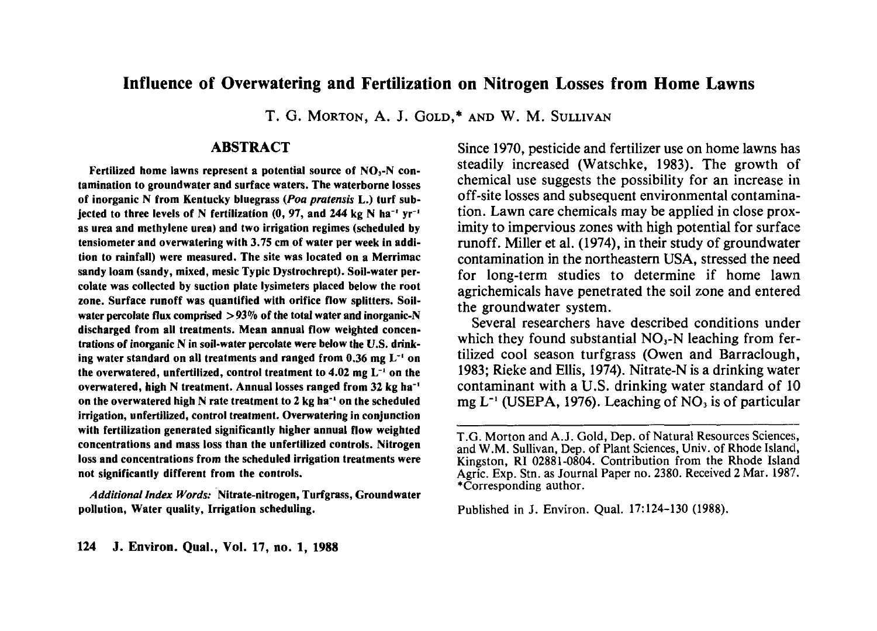# **Influence of Overwatering and Fertilization on Nitrogen Losses from Home Lawns**

T. G. MORTON, A. J. GOLD,\* AND W. M. SULLIVAN

## **ABSTRACT**

**Fertilized home lawns represent a potential source of NO,-N contamination to groundwater and surface waters. The waterborne losses of inorganic N from Kentucky bluegrass** *(Poa pratensis* **L.) turf subjected to three levels of N fertilization (0, 97, and 244 kg N ha"' yr~' as urea and methylene urea) and two irrigation regimes (scheduled by tensiometer and overwatering with 3.75 cm of water per week in addition to rainfall) were measured. The site was located on a Merrimac sandy loam (sandy, mixed, mesic Typic Dystrochrept). Soil-water percolate was collected by suction plate lysimeters placed below the root zone. Surface runoff was quantified with orifice flow splitters. Soilwater percolate flux comprised >93% of the total water and inorganic-N discharged from all treatments. Mean annual flow weighted concentrations of inorganic N in soil-water percolate were below the U.S. drinking water standard on all treatments and ranged from 0.36 mg L'<sup>1</sup> on the overwatered, unfertilized, control treatment to 4.02 mg L"<sup>1</sup> on the** overwatered, high N treatment. Annual losses ranged from 32 kg ha<sup>-1</sup> **on the overwatered high N rate treatment to 2 kg ha'<sup>1</sup> on the scheduled irrigation, unfertilized, control treatment. Overwatering in conjunction with fertilization generated significantly higher annual flow weighted concentrations and mass loss than the unfertilized controls. Nitrogen loss and concentrations from the scheduled irrigation treatments were not significantly different from the controls.**

*Additional Index Words:* **Nitrate-nitrogen, Turfgrass, Groundwater pollution, Water quality, Irrigation scheduling.**

Since 1970, pesticide and fertilizer use on home lawns has steadily increased (Watschke, 1983). The growth of chemical use suggests the possibility for an increase in off-site losses and subsequent environmental contamination. Lawn care chemicals may be applied in close proximity to impervious zones with high potential for surface runoff. Miller et al. (1974), in their study of groundwater contamination in the northeastern USA, stressed the need for long-term studies to determine if home lawn agrichemicals have penetrated the soil zone and entered the groundwater system.

Several researchers have described conditions under which they found substantial  $NO<sub>3</sub>-N$  leaching from fertilized cool season turfgrass (Owen and Barraclough, 1983; Rieke and Ellis, 1974). Nitrate-N is a drinking water contaminant with a U.S. drinking water standard of 10 mg  $L^{-1}$  (USEPA, 1976). Leaching of NO<sub>3</sub> is of particular

Published in J. Environ. Qual. 17:124-130 (1988).

T.G. Morton and A. J. Gold, Dep. of Natural Resources Sciences, and W.M. Sullivan, Dep. of Plant Sciences, Univ. of Rhode Island, Kingston, RI 02881-0804. Contribution from the Rhode Island Agric. Exp. Stn. as Journal Paper no. 2380. Received 2 Mar. 1987. "Corresponding author.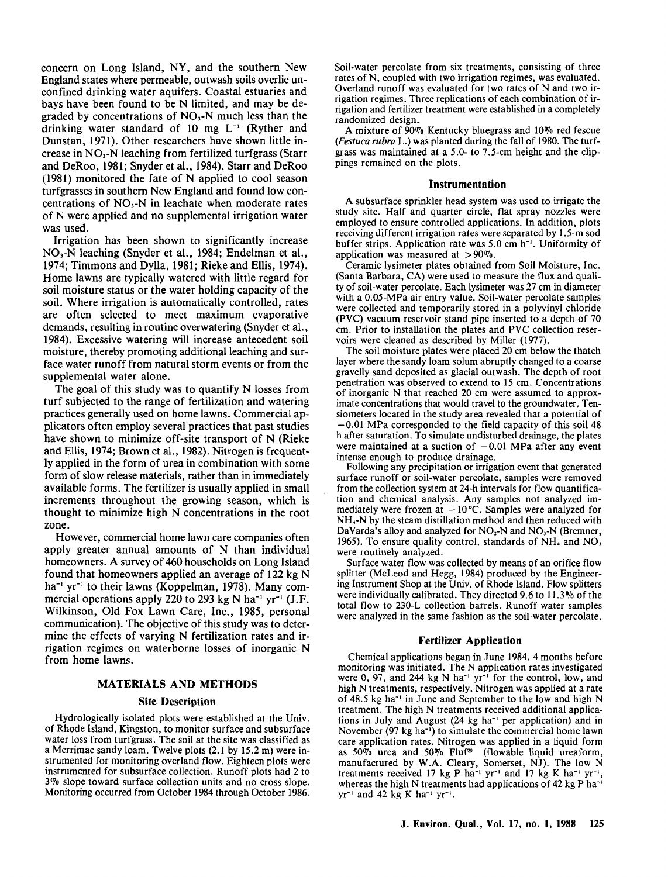concern on Long Island, NY, and the southern New England states where permeable, outwash soils overlie unconfined drinking water aquifers. Coastal estuaries and bays have been found to be N limited, and may be degraded by concentrations of  $NO<sub>3</sub>-N$  much less than the drinking water standard of 10 mg  $L^{-1}$  (Ryther and Dunstan, 1971). Other researchers have shown little increase in  $NO<sub>3</sub>-N$  leaching from fertilized turfgrass (Starr and DeRoo, 1981; Snyder et al., 1984). Starr and DeRoo (1981) monitored the fate of N applied to cool season turfgrasses in southern New England and found low concentrations of  $NO<sub>3</sub>-N$  in leachate when moderate rates of N were applied and no supplemental irrigation water was used.

Irrigation has been shown to significantly increase NO<sub>3</sub>-N leaching (Snyder et al., 1984; Endelman et al., 1974; Timmons and Dylla, 1981; Rieke and Ellis, 1974). Home lawns are typically watered with little regard for soil moisture status or the water holding capacity of the soil. Where irrigation is automatically controlled, rates are often selected to meet maximum evaporative demands, resulting in routine overwatering (Snyder et al., 1984). Excessive watering will increase antecedent soil moisture, thereby promoting additional leaching and surface water runoff from natural storm events or from the supplemental water alone.

The goal of this study was to quantify N losses from turf subjected to the range of fertilization and watering practices generally used on home lawns. Commercial applicators often employ several practices that past studies have shown to minimize off-site transport of N (Rieke and Ellis, 1974; Brown et al., 1982). Nitrogen is frequently applied in the form of urea in combination with some form of slow release materials, rather than in immediately available forms. The fertilizer is usually applied in small increments throughout the growing season, which is thought to minimize high N concentrations in the root zone.

However, commercial home lawn care companies often apply greater annual amounts of N than individual homeowners. A survey of 460 households on Long Island found that homeowners applied an average of 122 kg N  $ha^{-1}$  yr<sup>-1</sup> to their lawns (Koppelman, 1978). Many commercial operations apply 220 to 293 kg N ha<sup>-1</sup> yr<sup>-1</sup> (J.F. Wilkinson, Old Fox Lawn Care, Inc., 1985, personal communication). The objective of this study was to determine the effects of varying N fertilization rates and irrigation regimes on waterborne losses of inorganic N from home lawns.

## **MATERIALS AND METHODS**

## **Site Description**

Hydrologically isolated plots were established at the Univ. of Rhode Island, Kingston, to monitor surface and subsurface water loss from turfgrass. The soil at the site was classified as a Merrimac sandy loam. Twelve plots (2.1 by 15.2 m) were instrumented for monitoring overland flow. Eighteen plots were instrumented for subsurface collection. Runoff plots had 2 to 3% slope toward surface collection units and no cross slope. Monitoring occurred from October 1984 through October 1986.

Soil-water percolate from six treatments, consisting of three rates of N, coupled with two irrigation regimes, was evaluated. Overland runoff was evaluated for two rates of N and two irrigation regimes. Three replications of each combination of irrigation and fertilizer treatment were established in a completely randomized design.

A mixture of  $90\%$  Kentucky bluegrass and 10% red fescue *(Festuca rubra* L.) was planted during the fall of 1980. The turfgrass was maintained at a 5.0- to 7.5-cm height and the clippings remained on the plots.

#### **Instrumentation**

A subsurface sprinkler head system was used to irrigate the study site. Half and quarter circle, flat spray nozzles were employed to ensure controlled applications. In addition, plots receiving different irrigation rates were separated by 1.5-m sod buffer strips. Application rate was  $5.0 \text{ cm h}^{-1}$ . Uniformity of application was measured at  $>90\%$ .

Ceramic lysimeter plates obtained from Soil Moisture, Inc. (Santa Barbara, CA) were used to measure the flux and quality of soil-water percolate. Each lysimeter was 27 cm in diameter with a 0.05-MPa air entry value. Soil-water percolate samples were collected and temporarily stored in a polyvinyl chloride (PVC) vacuum reservoir stand pipe inserted to a depth of cm. Prior to installation the plates and PVC collection reservoirs were cleaned as described by Miller (1977).

The soil moisture plates were placed 20 cm below the thatch layer where the sandy loam solum abruptly changed to a coarse gravelly sand deposited as glacial outwash. The depth of root penetration was observed to extend to 15 cm. Concentrations of inorganic N that reached 20 cm were assumed to approximate concentrations that would travel to the groundwater. Tensiometers located in the study area revealed that a potential of -0.01 MPa corresponded to the field capacity of this soil 48 h after saturation. To simulate undisturbed drainage, the plates were maintained at a suction of  $-0.01$  MPa after any event intense enough to produce drainage.

Following any precipitation or irrigation event that generated surface runoff or soil-water percolate, samples were removed from the collection system at 24-h intervals for flow quantification and chemical analysis. Any samples not analyzed immediately were frozen at  $-10^{\circ}$ C. Samples were analyzed for NH,-N by the steam distillation method and then reduced with DaVarda's alloy and analyzed for  $NO<sub>2</sub>-N$  and  $NO<sub>3</sub>-N$  (Bremner, 1965). To ensure quality control, standards of  $NH<sub>4</sub>$  and  $NO<sub>3</sub>$ were routinely analyzed.

Surface water flow was collected by means of an orifice flow splitter (McLeod and Hegg, 1984) produced by the Engineering Instrument Shop at the Univ. of Rhode Island. Flow splitters were individually calibrated. They directed 9.6 to 11.3% of the total flow to 230-L collection barrels. Runoff water samples were analyzed in the same fashion as the soil-water percolate.

### **Fertilizer Application**

Chemical applications began in June 1984, 4 months before monitoring was initiated. The N application rates investigated were  $0$ ,  $97$ , and  $244$  kg N ha<sup>-1</sup> yr<sup>-1</sup> for the control, low, and high N treatments, respectively. Nitrogen was applied at a rate of 48.5 kg ha-' in June and September to the low and high N treatment. The high N treatments received additional applications in July and August (24 kg ha<sup>-1</sup> per application) and in November (97 kg ha<sup>-1</sup>) to simulate the commercial home lawn care application rates. Nitrogen was applied in a liquid form as  $50\%$  urea and  $50\%$  Fluf<sup>®</sup> (flowable liquid ureaform, manufactured by W.A. Cleary, Somerset, NJ). The low N treatments received 17 kg P ha<sup>-1</sup> yr<sup>-1</sup> and 17 kg K ha<sup>-1</sup> yr<sup>-1</sup>, whereas the high N treatments had applications of 42 kg P ha<sup>-1</sup>  $yr^{-1}$  and 42 kg K ha<sup>-1</sup> yr<sup>-1</sup>.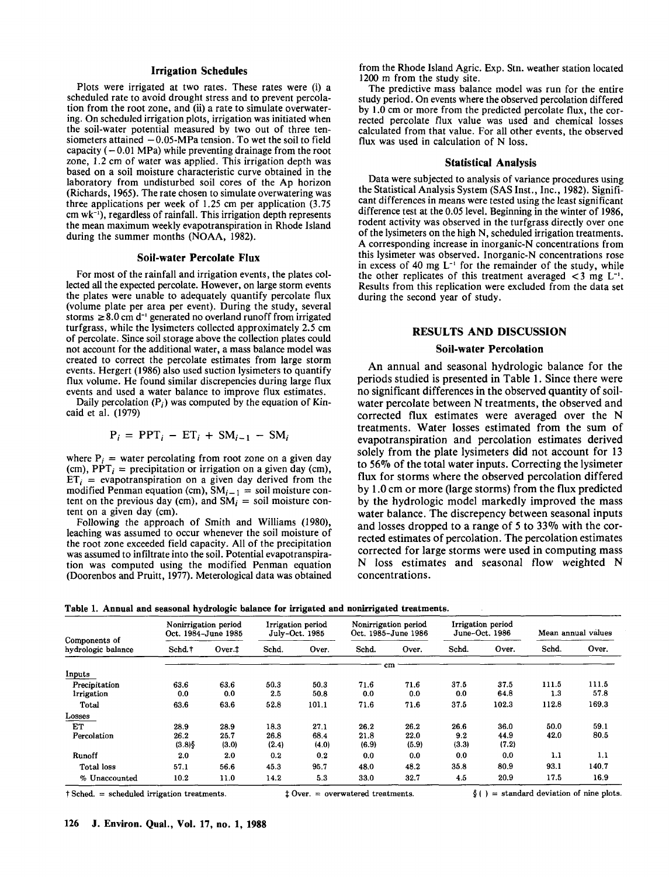#### **Irrigation Schedules**

Plots were irrigated at two rates. These rates were (i) scheduled rate to avoid drought stress and to prevent percolation from the root zone, and (ii) a rate to simulate overwatering. On scheduled irrigation plots, irrigation was initiated when the soil-water potential measured by two out of three tensiometers attained  $-0.05-MPa$  tension. To wet the soil to field capacity  $(-0.01 \text{ MPa})$  while preventing drainage from the root zone, 1.2 cm of water was applied. This irrigation depth was based on a soil moisture characteristic curve obtained in the laboratory from undisturbed soil cores of the Ap horizon (Richards, 1965). The rate chosen to simulate overwatering was three applications per week of 1.25 cm per application (3.75  $cm$  wk<sup>-1</sup>), regardless of rainfall. This irrigation depth represents the mean maximum weekly evapotranspiration in Rhode Island during the summer months (NOAA, 1982).

#### **Soil-water Percolate Flux**

For most of the rainfall and irrigation events, the plates collected all the expected percolate. However, on large storm events the plates were unable to adequately quantify percolate flux (volume plate per area per event). During the study, several storms  $\geq 8.0$  cm d<sup>-1</sup> generated no overland runoff from irrigated turfgrass, while the lysimeters collected approximately 2.5 cm of percolate. Since soil storage above the collection plates could not account for the additional water, a mass balance model was created to correct the percolate estimates from large storm events. Hergert (1986) also used suction lysimeters to quantify flux volume. He found similar discrepencies during large flux events and used a water balance to improve flux estimates.

Daily percolation  $(P_i)$  was computed by the equation of Kincaid et al. (1979)

$$
P_i = PPT_i - ET_i + SM_{i-1} - SM_i
$$

where  $P_i$  = water percolating from root zone on a given day (cm),  $PPT_i$  = precipitation or irrigation on a given day (cm),  $ET_i$  = evapotranspiration on a given day derived from the modified Penman equation (cm),  $SM_{i-1}$  = soil moisture content on the previous day (cm), and  $\overline{SM}_i =$  soil moisture content on a given day (cm).

Following the approach of Smith and Williams (1980), leaching was assumed to occur whenever the soil moisture of the root zone exceeded field capacity. All of the precipitation was assumed to infiltrate into the soil. Potential evapotranspiration was computed using the modified Penman equation (Doorenbos and Pruitt, 1977). Meterological data was obtained from the Rhode Island Agric. Exp. Stn. weather station located 1200 m from the study site.

The predictive mass balance model was run for the entire study period. On events where the observed percolation differed by 1.0 cm or more from the predicted percolate flux, the corrected percolate flux value was used and chemical losses calculated from that value. For all other events, the observed flux was used in calculation of N loss.

#### **Statistical Analysis**

Data were subjected to analysis of variance procedures using the Statistical Analysis System (SAS Inst., Inc., 1982). Significant differences in means were tested using the least significant difference test at the 0.05 level. Beginning in the winter of 1986, rodent activity was observed in the turfgrass directly over one of the lysimeters on the high N, scheduled irrigation treatments. A corresponding increase in inorganic-N concentrations from this lysimeter was observed. Inorganic-N concentrations rose in excess of 40 mg  $L^{-1}$  for the remainder of the study, while the other replicates of this treatment averaged  $\langle 3 \rangle$  mg  $L^{-1}$ . Results from this replication were excluded from the data set during the second year of study.

## **RESULTS** AND DISCUSSION

## **Soil-water Percolation**

An annual and seasonal hydrologic balance for the periods studied is presented in Table 1. Since there were no significant differences in the observed quantity of soilwater percolate between N treatments, the observed and corrected flux estimates were averaged over the N treatments. Water losses estimated from the sum of evapotranspiration and percolation estimates derived solely from the plate lysimeters did not account for 13 to 56°7o of the total water inputs. Correcting the lysimeter flux for storms where the observed percolation differed by 1.0 cm or more (large storms) from the flux predicted by the hydrologic model markedly improved the mass water balance. The discrepency between seasonal inputs and losses dropped to a range of 5 to 33% with the corrected estimates of percolation. The percolation estimates corrected for large storms were used in computing mass. N loss estimates and seasonal flow weighted N concentrations.

**Table 1. Annual and seasonal hydrologic balance for irrigated and nonirrigated treatments.**

|                                     | -<br>Nonirrigation period<br>Oct. 1984-June 1985 |                       | o<br>Irrigation period<br>July-Oct. 1985 |                       | <u>o</u><br>Nonirrigation period<br>Oct. 1985-June 1986 |                       | Irrigation period<br>June-Oct. 1986 |                       | Mean annual values |               |
|-------------------------------------|--------------------------------------------------|-----------------------|------------------------------------------|-----------------------|---------------------------------------------------------|-----------------------|-------------------------------------|-----------------------|--------------------|---------------|
| Components of<br>hydrologic balance | Schd. <sup>†</sup>                               | Over.                 | Schd.                                    | Over.                 | Schd.                                                   | Over.                 | Schd.                               | Over.                 | Schd.              | Over.         |
| Inputs                              |                                                  |                       |                                          |                       |                                                         | cm                    |                                     |                       |                    |               |
| Precipitation<br>lrrigation         | 63.6<br>0.0                                      | 63.6<br>0,0           | 50.3<br>2.5                              | 50.3<br>50.8          | 71.6<br>0.0                                             | 71.6<br>0.0           | 37.5<br>0.0                         | 37.5<br>64.8          | 111.5<br>1.3       | 111.5<br>57.8 |
| Total                               | 63.6                                             | 63.6                  | 52.8                                     | 101.1                 | 71.6                                                    | 71.6                  | 37.5                                | 102.3                 | 112.8              | 169.3         |
| Losses                              |                                                  |                       |                                          |                       |                                                         |                       |                                     |                       |                    |               |
| ET<br>Percolation                   | 28.9<br>26.2<br>(3.8)                            | 28.9<br>25.7<br>(3.0) | 18.3<br>26.8<br>(2.4)                    | 27.1<br>68.4<br>(4.0) | 26.2<br>21.8<br>(6.9)                                   | 26.2<br>22.0<br>(5.9) | 26.6<br>9.2<br>(3.3)                | 36.0<br>44.9<br>(7.2) | 50.0<br>42.0       | 59.1<br>80.5  |
| Runoff                              | 2.0                                              | 2.0                   | 0.2                                      | 0.2                   | 0.0                                                     | 0.0                   | 0.0                                 | 0.0                   | 1.1                | 1.1           |
| Total loss                          | 57.1                                             | 56.6                  | 45.3                                     | 95.7                  | 48.0                                                    | 48.2                  | 35.8                                | 80.9                  | 93.1               | 140.7         |
| % Unaccounted                       | 10.2                                             | 11.0                  | 14.2                                     | 5.3                   | 33.0                                                    | 32.7                  | 4.5                                 | 20.9                  | 17.5               | 16.9          |

 $\frac{1}{2}$  Sched. = scheduled irrigation treatments.  $\frac{1}{2}$  Over. = overwatered treatments.  $\frac{1}{2}$  = standard deviation of nine plots.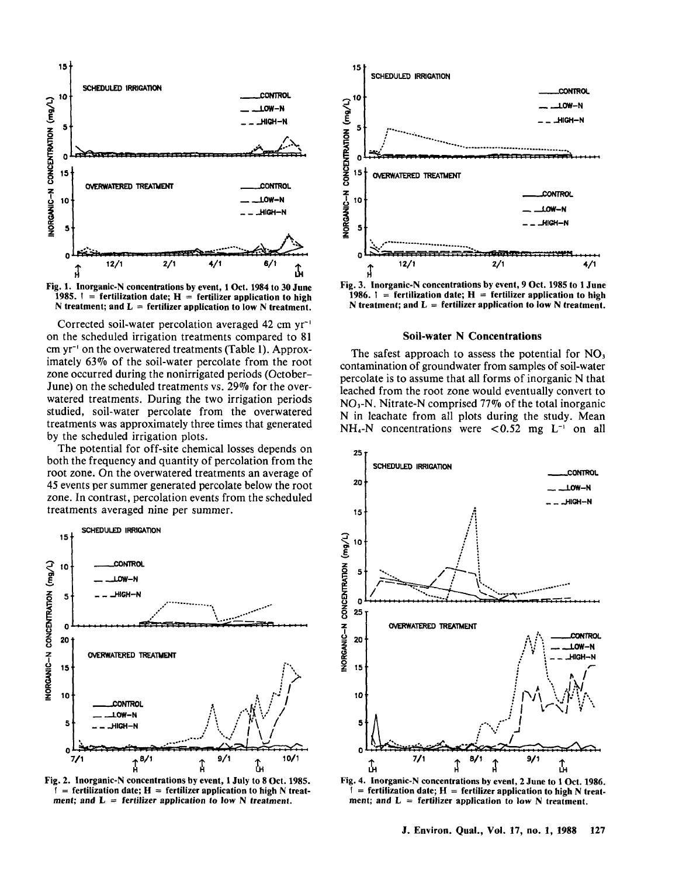



Corrected soil-water percolation averaged 42 cm yr-' on the scheduled irrigation treatments compared to 81 cm yr-' on the overwatered treatments (Table 1). Approximately 63°7o of the soil-water percolate from the root zone occurred during the nonirrigated periods (October-June) on the scheduled treatments vs. 29% for the overwatered treatments. During the two irrigation periods studied, soil-water percolate from the overwatered treatments was approximately three times that generated by the scheduled irrigation plots.

The potential for off-site chemical losses depends on both the frequency and quantity of percolation from the root zone. On the overwatered treatments an average of 45 events per summer generated percolate below the root zone. In contrast, percolation events from the scheduled treatments averaged nine per summer.



Fig. 2. Inorganic-N concentrations by event, 1 July to 8 Oct. 1985.  $=$  fertilization date;  $H =$  fertilizer application to high N treatment; and  $L =$  fertilizer application to low N treatment.



Fig. 3. Inorganic-N concentrations by event, 9 Oct. 1985 to 1 June 1986.  $\mathbf{i}$  = fertilization date;  $\mathbf{H}$  = fertilizer application to high N treatment; and  $L =$  fertilizer application to low N treatment.

#### **Soil-water N** Concentrations

The safest approach to assess the potential for  $NO<sub>3</sub>$ contamination of groundwater from samples of soil-water percolate is to assume that all forms of inorganic N that leached from the root zone would eventually convert to  $NO<sub>3</sub>-N$ . Nitrate-N comprised 77% of the total inorganic N in leachate from all plots during the study. Mean  $NH_{4}-N$  concentrations were <0.52 mg  $L^{-1}$  on all



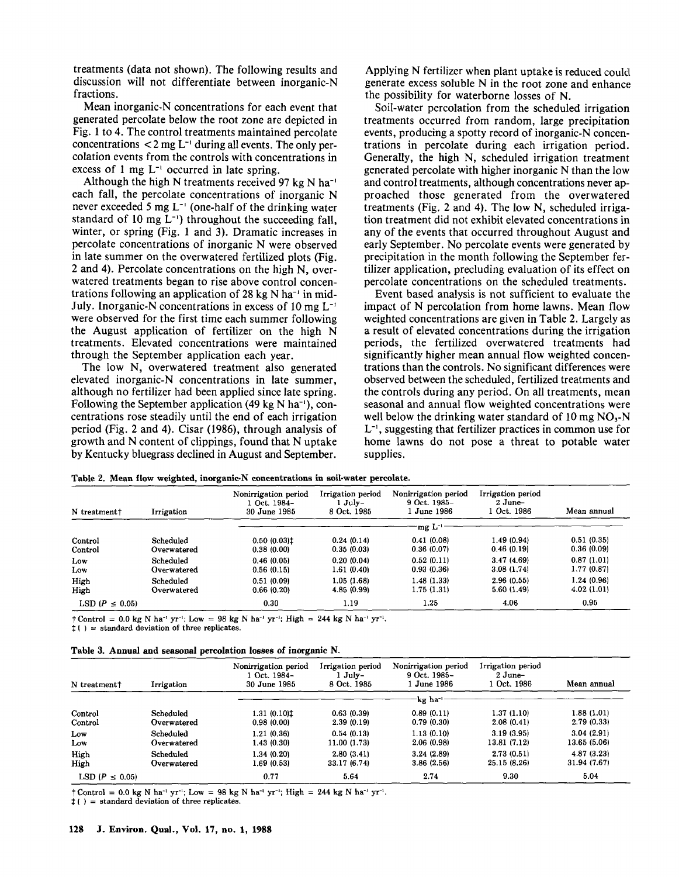treatments (data not shown). The following results and discussion will not differentiate between inorganic-N fractions.

Mean inorganic-N concentrations for each event that generated percolate below the root zone are depicted in Fig. 1 to 4. The control treatments maintained percolate concentrations  $<$  2 mg L<sup>-1</sup> during all events. The only percolation events from the controls with concentrations in excess of 1 mg  $L^{-1}$  occurred in late spring.

Although the high N treatments received 97 kg N ha<sup>-1</sup> each fall, the percolate concentrations of inorganic N never exceeded 5 mg  $L^{-1}$  (one-half of the drinking water standard of 10 mg  $L^{-1}$ ) throughout the succeeding fall, winter, or spring (Fig. 1 and 3). Dramatic increases in percolate concentrations of inorganic N were observed in late summer on the overwatered fertilized plots (Fig. 2 and 4). Percolate concentrations on the high N, overwatered treatments began to rise above control concentrations following an application of 28 kg N ha<sup>-1</sup> in mid-July. Inorganic-N concentrations in excess of 10 mg L-' were observed for the first time each summer following the August application of fertilizer on the high N treatments. Elevated concentrations were maintained through the September application each year.

The low N, overwatered treatment also generated elevated inorganic-N concentrations in late summer, although no fertilizer had been applied since late spring. Following the September application (49 kg N ha<sup>-1</sup>), concentrations rose steadily until the end of each irrigation period (Fig. 2 and 4). Cisar (1986), through analysis of growth and N content of clippings, found that N uptake by Kentucky bluegrass declined in August and September.

Applying N fertilizer when plant uptake is reduced could generate excess soluble N in the root zone and enhance the possibility for waterborne losses of N.

Soil-water percolation from the scheduled irrigation treatments occurred from random, large precipitation events, producing a spotty record of inorganic-N concentrations in percolate during each irrigation period. Generally, the high N, scheduled irrigation treatment generated percolate with higher inorganic N than the low and control treatments, although concentrations never approached those generated from the overwatered treatments (Fig. 2 and 4). The low N, scheduled irrigation treatment did not exhibit elevated concentrations in any of the events that occurred throughout August and early September. No percolate events were generated by precipitation in the month following the September fertilizer application, precluding evaluation of its effect on percolate concentrations on the scheduled treatments.

Event based analysis is not sufficient to evaluate the impact of N percolation from home lawns. Mean flow weighted concentrations are given in Table 2. Largely as a result of elevated concentrations during the irrigation periods, the fertilized overwatered treatments had significantly higher mean annual flow weighted concentrations than the controls. No significant differences were observed between the scheduled, fertilized treatments and the controls during any period. On all treatments, mean seasonal and annual flow weighted concentrations were well below the drinking water standard of 10 mg  $NO<sub>3</sub>-N$ L-', suggesting that fertilizer practices in common use for home lawns do not pose a threat to potable water supplies.

|  |  | Table 2. Mean flow weighted, inorganic-N concentrations in soil-water percolate. |  |  |
|--|--|----------------------------------------------------------------------------------|--|--|
|  |  |                                                                                  |  |  |

| N treatment†        | Irrigation  | Nonirrigation period<br>1 Oct. 1984-<br>30 June 1985 | Irrigation period<br>$1$ July-<br>8 Oct. 1985 | Nonirrigation period<br>9 Oct. 1985-<br>1 June 1986 | Irrigation period<br>$2$ June-<br>1 Oct. 1986 | Mean annual |  |
|---------------------|-------------|------------------------------------------------------|-----------------------------------------------|-----------------------------------------------------|-----------------------------------------------|-------------|--|
|                     |             |                                                      |                                               | mg L <sup>-1</sup>                                  |                                               |             |  |
| Control             | Scheduled   | $0.50(0.03)$ t                                       | 0.24(0.14)                                    | 0.41(0.08)                                          | 1.49(0.94)                                    | 0.51(0.35)  |  |
| Control             | Overwatered | 0.38(0.00)                                           | 0.35(0.03)                                    | 0.36(0.07)                                          | 0.46(0.19)                                    | 0.36(0.09)  |  |
| Low                 | Scheduled   | 0.46(0.05)                                           | 0.20(0.04)                                    | 0.52(0.11)                                          | 3.47(4.69)                                    | 0.87(1.01)  |  |
| Low                 | Overwatered | 0.56(0.15)                                           | 1.61(0.40)                                    | 0.93(0.36)                                          | 3.08(1.74)                                    | 1.77(0.87)  |  |
| High                | Scheduled   | 0.51(0.09)                                           | 1.05(1.68)                                    | 1.48(1.33)                                          | 2.96(0.55)                                    | 1.24 (0.96) |  |
| High                | Overwatered | 0.66(0.20)                                           | 4.85 (0.99)                                   | 1.75(1.31)                                          | 5.60(1.49)                                    | 4.02(1.01)  |  |
| LSD $(P \leq 0.05)$ |             | 0.30                                                 | 1.19                                          | 1.25                                                | 4.06                                          | 0.95        |  |

 $\uparrow$  Control = 0.0 kg N ha<sup>-1</sup> yr<sup>-1</sup>; Low = 98 kg N ha<sup>-1</sup> yr<sup>-1</sup>; High = 244 kg N ha<sup>-1</sup> yr<sup>-1</sup>.

 $t()$  = standard deviation of three replicates.

|  |  |  |  |  |  |  |  |  | Table 3. Annual and seasonal percolation losses of inorganic N. |  |
|--|--|--|--|--|--|--|--|--|-----------------------------------------------------------------|--|
|--|--|--|--|--|--|--|--|--|-----------------------------------------------------------------|--|

| N treatment <sup>†</sup> | Irrigation  | Nonirrigation period<br>1 Oct. 1984-<br>30 June 1985 | Irrigation period<br>$1$ July-<br>8 Oct. 1985 | Nonirrigation period<br>9 Oct. 1985-<br>1 June 1986 | Irrigation period<br>$2$ June-<br>1 Oct. 1986 | Mean annual  |  |
|--------------------------|-------------|------------------------------------------------------|-----------------------------------------------|-----------------------------------------------------|-----------------------------------------------|--------------|--|
|                          |             |                                                      |                                               | kg ha-                                              |                                               |              |  |
| Control                  | Scheduled   | $1.31(0.10)$ #                                       | 0.63(0.39)                                    | 0.89(0.11)                                          | 1.37 (1.10)                                   | 1.88(1.01)   |  |
| Control                  | Overwatered | 0.98(0.00)                                           | 2.39(0.19)                                    | 0.79(0.30)                                          | 2.08(0.41)                                    | 2.79(0.33)   |  |
| Low                      | Scheduled   | 1.21 (0.36)                                          | 0.54(0.13)                                    | 1.13(0.10)                                          | 3.19(3.95)                                    | 3.04(2.91)   |  |
| Low                      | Overwatered | 1.43 (0.30)                                          | 11.00 (1.73)                                  | 2.06(0.98)                                          | 13.81 (7.12)                                  | 13.65 (5.06) |  |
| High                     | Scheduled   | 1.34 (0.20)                                          | 2.80(3.41)                                    | 3.24(2.89)                                          | 2.73(0.51)                                    | 4.87(3.23)   |  |
| High                     | Overwatered | 1.69 (0.53)                                          | 33.17 (6.74)                                  | 3.86(2.56)                                          | 25.15 (8.26)                                  | 31.94 (7.67) |  |
| LSD ( $P \leq 0.05$ )    |             | 0.77                                                 | 5.64                                          | 2.74                                                | 9.30                                          | 5.04         |  |

 $\uparrow$  Control = 0.0 kg N ha<sup>-1</sup> yr<sup>-1</sup>; Low = 98 kg N ha<sup>-1</sup> yr<sup>-1</sup>; High = 244 kg N ha<sup>-1</sup> yr<sup>-1</sup>.

( ~ = standard **deviation of three replicates.**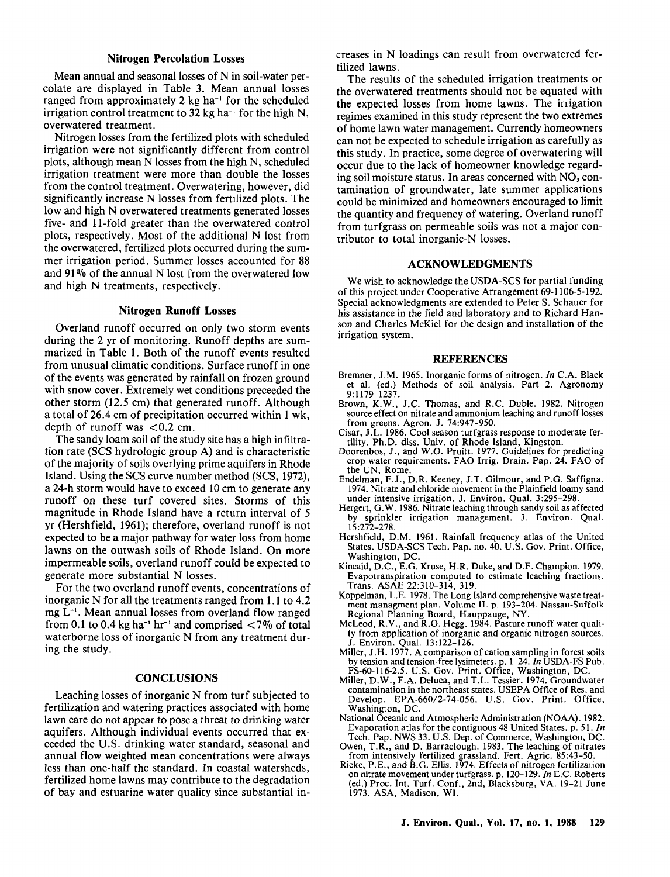## **Nitrogen Percolation Losses**

Mean annual and seasonal losses of N in soil-water percolate are displayed in Table 3. Mean annual losses ranged from approximately 2 kg ha<sup>-1</sup> for the scheduled irrigation control treatment to 32 kg ha<sup>-1</sup> for the high N, over watered treatment.

Nitrogen losses from the fertilized plots with scheduled irrigation were not significantly different from control plots, although mean N losses from the high N, scheduled irrigation treatment were more than double the losses from the control treatment. Overwatering, however, did significantly increase N losses from fertilized plots. The low and high N overwatered treatments generated losses five- and 11-fold greater than the overwatered control plots, respectively. Most of the additional N lost from the overwatered, fertilized plots occurred during the summer irrigation period. Summer losses accounted for 88 and 91% of the annual N lost from the overwatered low and high N treatments, respectively.

## **Nitrogen Runoff Losses**

Overland runoff occurred on only two storm events during the 2 yr of monitoring. Runoff depths are summarized in Table 1. Both of the runoff events resulted from unusual climatic conditions. Surface runoff in one of the events was generated by rainfall on frozen ground with snow cover. Extremely wet conditions preceeded the other storm (12.5 cm) that generated runoff. Although a total of 26.4 cm of precipitation occurred within 1 wk, depth of runoff was  $< 0.2$  cm.

The sandy loam soil of the study site has a high infiltration rate (SCS hydrologic group A) and is characteristic of the majority of soils overlying prime aquifers in Rhode Island. Using the SCS curve number method (SCS, 1972), a 24-h storm would have to exceed 10 cm to generate any runoff on these turf covered sites. Storms of this magnitude in Rhode Island have a return interval of 5 yr (Hershfield, 1961); therefore, overland runoff is not expected to be a major pathway for water loss from home lawns on the outwash soils of Rhode Island. On more impermeable soils, overland runoff could be expected to generate more substantial N losses.

For the two overland runoff events, concentrations of inorganic N for all the treatments ranged from 1.1 to 4.2 mg L<sup>-1</sup>. Mean annual losses from overland flow ranged from 0.1 to 0.4 kg ha<sup>-1</sup> hr<sup>-1</sup> and comprised  $\lt 7\%$  of total waterborne loss of inorganic N from any treatment during the study.

## **CONCLUSIONS**

Leaching losses of inorganic N from turf subjected to fertilization and watering practices associated with home lawn care do not appear to pose a threat to drinking water aquifers. Although individual events occurred that exceeded the U.S. drinking water standard, seasonal and annual flow weighted mean concentrations were always less than one-half the standard. In coastal watersheds, fertilized home lawns may contribute to the degradation of bay and estuarine water quality since substantial increases in N loadings can result from overwatered fertilized lawns.

The results of the scheduled irrigation treatments or the overwatered treatments should not be equated with the expected losses from home lawns. The irrigation regimes examined in this study represent the two extremes of home lawn water management. Currently homeowners can not be expected to schedule irrigation as carefully as this study. In practice, some degree of overwatering will occur due to the lack of homeowner knowledge regarding soil moisture status. In areas concerned with  $NO<sub>3</sub>$  contamination of groundwater, late summer applications could be minimized and homeowners encouraged to limit the quantity and frequency of watering. Overland runoff from turfgrass on permeable soils was not a major contributor to total inorganic-N losses.

## **ACKNOWLEDGMENTS**

We wish to acknowledge the USDA-SCS for partial funding of this project under Cooperative Arrangement 69-1106-5-192. Special acknowledgments are extended to Peter S. Schauer for his assistance in the field and laboratory and to Richard Hanson and Charles McKiel for the design and installation of the irrigation system.

#### **REFERENCES**

- Bremner, J.M. 1965. Inorganic forms of nitrogen. In C.A. Black et al. (ed.) Methods of soil analysis. Part 2. Agronomy  $9:1179 - 1237$
- Brown, K.W., J.C. Thomas, and R.C. Duble. 1982. Nitrogen source effect on nitrate and ammonium leaching and runoff losses from greens. Agron. J. 74:947-950.
- Cisar, J.L. 1986. Cool season turfgrass response to moderate fertility. Ph.D. diss. Univ. of Rhode Island, Kingston.
- Doorenbos, J., and W.O. Pruitt. 1977. Guidelines for predicting<br>crop water requirements. FAO Irrig. Drain. Pap. 24. FAO of the UN, Rome.
- Endelman, F.J., D.R. Keeney, J.T. Gilmour, and P.G. Saffigna. 1974. Nitrate and chloride movement in the Plainfield loamy sand under intensive irrigation. J. Environ. Qual. 3:295-298.
- Hergert, G.W. 1986. Nitrate leaching through sandy soil as affected by sprinkler irrigation management. J. Environ. Qual.  $15:272 - 278.$
- Hershfield, D.M. 1961. Rainfall frequency atlas of the United States. USDA-SCS Tech. Pap. no. 40. U.S. Gov. Print. Office, Washington, DC.
- Kincaid, D.C., E.G. Kruse, H.R. Duke, and D.F. Champion. 1979. Evapotranspiration computed to estimate leaching fractions. Trans. ASAE 22:310-314, 319.
- Koppelman, L.E. 1978. The Long Island comprehensive waste treatment managment plan. Volume II. p. 193-204. Nassau-Suffolk Regional Planning Board, Hauppauge, NY.
- McLeod, R.V., and R.O. Hegg. 1984. Pasture runoff water quality from application of inorganic and organic nitrogen sources.
- J. Environ. Qual. 13:122-126.<br>Miller, J.H. 1977. A comparison of cation sampling in forest soils by tension and tension-free lysimeters. p. 1–24. In USDA-FS Pub.<br>FS-60-116-2.5. U.S. Gov. Print. Office, Washington, DC.
- Miller, D.W., F.A. Deluca, and T.L. Tessier. 1974. Groundwater contamination in the northeast states. USEPA Office of Res. and Develop. EPA-660/2-74-056. U.S. Gov. Print. Office, Washington, DC.
- National Oceanic and Atmospheric Administration (NOAA). 1982. Evaporation atlas for the contiguous 48 United States. p. 51. In Tech. Pap. NWS 33. U.S. Dep. of Commerce, Washington, DC.
- Owen, T.R., and D. Barraclough. 1983. The leaching of nitrates
- From intensively fertilized grassland. Fert. Agric. 85:43-50.<br>Rieke, P.E., and B.G. Ellis. 1974. Effects of nitrogen fertilization on nitrate movement under turfgrass. p. 120-129. In E.C. Roberts (ed.) Proc. Int. Turf. Conf., 2nd, Blacksburg, VA. 19-21 June 1973. ASA, Madison, WI.